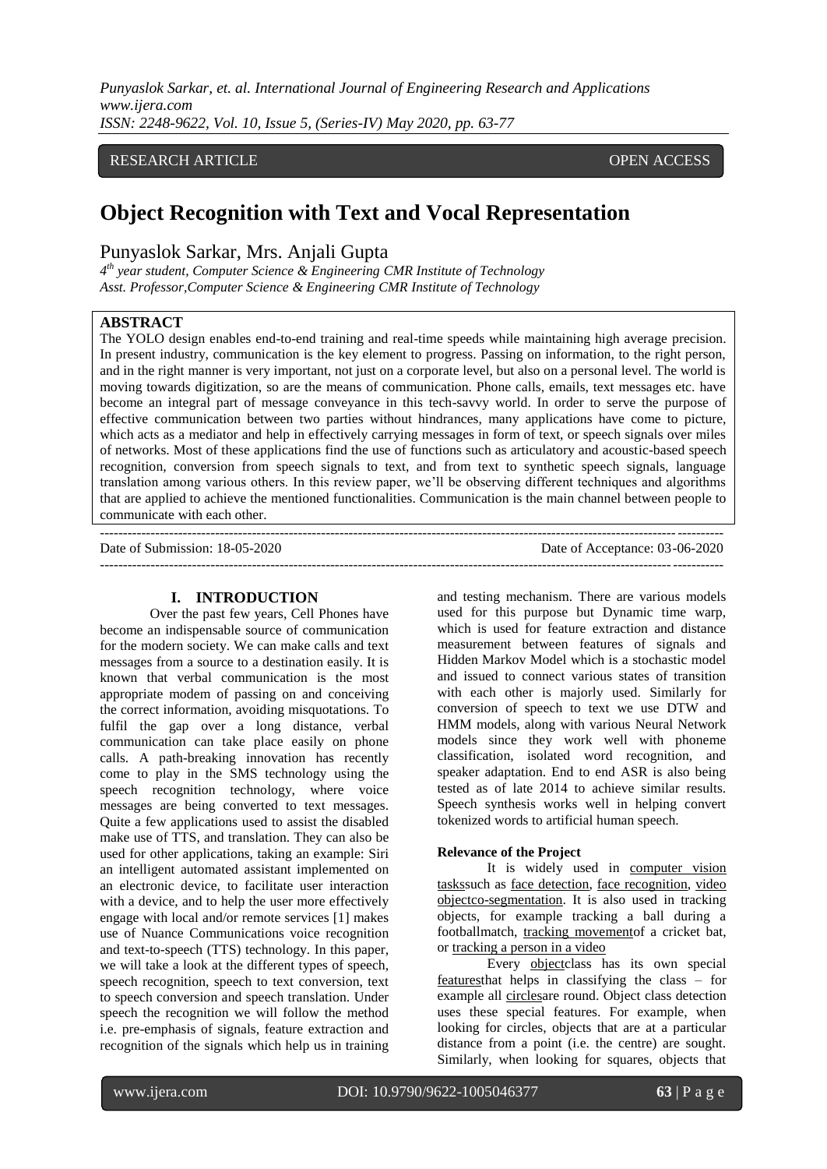# RESEARCH ARTICLE **CONTRACT OPEN ACCESS**

# **Object Recognition with Text and Vocal Representation**

# Punyaslok Sarkar, Mrs. Anjali Gupta

*4 th year student, Computer Science & Engineering CMR Institute of Technology Asst. Professor,Computer Science & Engineering CMR Institute of Technology*

# **ABSTRACT**

The YOLO design enables end-to-end training and real-time speeds while maintaining high average precision. In present industry, communication is the key element to progress. Passing on information, to the right person, and in the right manner is very important, not just on a corporate level, but also on a personal level. The world is moving towards digitization, so are the means of communication. Phone calls, emails, text messages etc. have become an integral part of message conveyance in this tech-savvy world. In order to serve the purpose of effective communication between two parties without hindrances, many applications have come to picture, which acts as a mediator and help in effectively carrying messages in form of text, or speech signals over miles of networks. Most of these applications find the use of functions such as articulatory and acoustic-based speech recognition, conversion from speech signals to text, and from text to synthetic speech signals, language translation among various others. In this review paper, we"ll be observing different techniques and algorithms that are applied to achieve the mentioned functionalities. Communication is the main channel between people to communicate with each other.

--------------------------------------------------------------------------------------------------------------------------------------- Date of Submission: 18-05-2020 Date of Acceptance: 03-06-2020 ---------------------------------------------------------------------------------------------------------------------------------------

### **I. INTRODUCTION**

Over the past few years, Cell Phones have become an indispensable source of communication for the modern society. We can make calls and text messages from a source to a destination easily. It is known that verbal communication is the most appropriate modem of passing on and conceiving the correct information, avoiding misquotations. To fulfil the gap over a long distance, verbal communication can take place easily on phone calls. A path-breaking innovation has recently come to play in the SMS technology using the speech recognition technology, where voice messages are being converted to text messages. Quite a few applications used to assist the disabled make use of TTS, and translation. They can also be used for other applications, taking an example: Siri an intelligent automated assistant implemented on an electronic device, to facilitate user interaction with a device, and to help the user more effectively engage with local and/or remote services [1] makes use of Nuance Communications voice recognition and text-to-speech (TTS) technology. In this paper, we will take a look at the different types of speech, speech recognition, speech to text conversion, text to speech conversion and speech translation. Under speech the recognition we will follow the method i.e. pre-emphasis of signals, feature extraction and recognition of the signals which help us in training

and testing mechanism. There are various models used for this purpose but Dynamic time warp, which is used for feature extraction and distance measurement between features of signals and Hidden Markov Model which is a stochastic model and issued to connect various states of transition with each other is majorly used. Similarly for conversion of speech to text we use DTW and HMM models, along with various Neural Network models since they work well with phoneme classification, isolated word recognition, and speaker adaptation. End to end ASR is also being tested as of late 2014 to achieve similar results. Speech synthesis works well in helping convert tokenized words to artificial human speech.

#### **Relevance of the Project**

It is widely used in [computer vision](https://en.wikipedia.org/wiki/Computer_vision)  [taskss](https://en.wikipedia.org/wiki/Computer_vision)uch as [face detection,](https://en.wikipedia.org/wiki/Face_detection) [face recognition,](https://en.wikipedia.org/wiki/Face_recognition) [video](https://en.wikipedia.org/wiki/Object_Co-segmentation)  [objectc](https://en.wikipedia.org/wiki/Object_Co-segmentation)o-segmentation. It is also used in tracking objects, for example tracking a ball during a footballmatch, [tracking movemento](https://en.wikipedia.org/wiki/Motion_capture)f a cricket bat, or [tracking a person in a video](https://en.wikipedia.org/wiki/Video_tracking)

Every [objectc](https://en.wiktionary.org/wiki/entity)lass has its own special [featurest](https://en.wikipedia.org/wiki/Feature_(computer_vision))hat helps in classifying the class – for example all [circlesa](https://en.wikipedia.org/wiki/Circles)re round. Object class detection uses these special features. For example, when looking for circles, objects that are at a particular distance from a point (i.e. the centre) are sought. Similarly, when looking for squares, objects that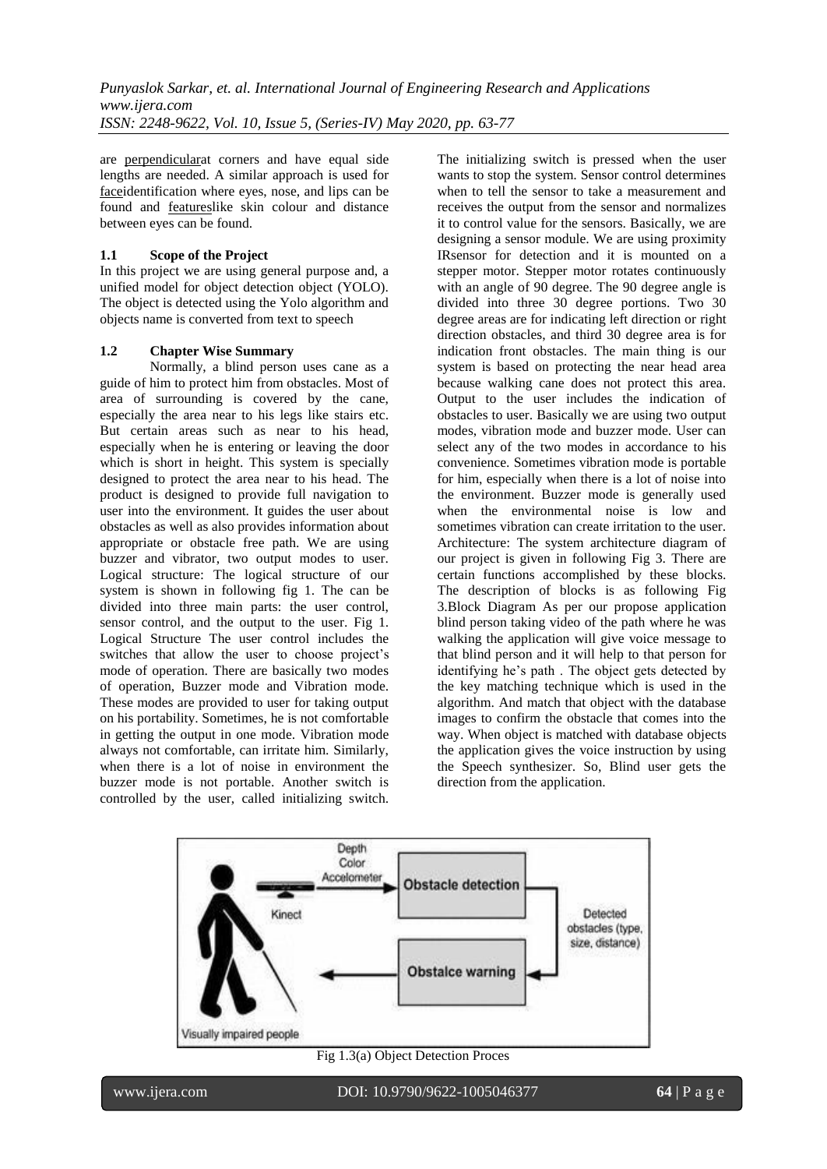are [perpendiculara](https://en.wikipedia.org/wiki/Perpendicular)t corners and have equal side lengths are needed. A similar approach is used for [facei](https://en.wikipedia.org/wiki/Face)dentification where eyes, nose, and lips can be found and [featuresl](https://en.wikipedia.org/wiki/Feature_(computer_vision))ike skin colour and distance between eyes can be found.

# **1.1 Scope of the Project**

In this project we are using general purpose and, a unified model for object detection object (YOLO). The object is detected using the Yolo algorithm and objects name is converted from text to speech

# **1.2 Chapter Wise Summary**

Normally, a blind person uses cane as a guide of him to protect him from obstacles. Most of area of surrounding is covered by the cane, especially the area near to his legs like stairs etc. But certain areas such as near to his head, especially when he is entering or leaving the door which is short in height. This system is specially designed to protect the area near to his head. The product is designed to provide full navigation to user into the environment. It guides the user about obstacles as well as also provides information about appropriate or obstacle free path. We are using buzzer and vibrator, two output modes to user. Logical structure: The logical structure of our system is shown in following fig 1. The can be divided into three main parts: the user control, sensor control, and the output to the user. Fig 1. Logical Structure The user control includes the switches that allow the user to choose project's mode of operation. There are basically two modes of operation, Buzzer mode and Vibration mode. These modes are provided to user for taking output on his portability. Sometimes, he is not comfortable in getting the output in one mode. Vibration mode always not comfortable, can irritate him. Similarly, when there is a lot of noise in environment the buzzer mode is not portable. Another switch is controlled by the user, called initializing switch. The initializing switch is pressed when the user wants to stop the system. Sensor control determines when to tell the sensor to take a measurement and receives the output from the sensor and normalizes it to control value for the sensors. Basically, we are designing a sensor module. We are using proximity IRsensor for detection and it is mounted on a stepper motor. Stepper motor rotates continuously with an angle of 90 degree. The 90 degree angle is divided into three 30 degree portions. Two 30 degree areas are for indicating left direction or right direction obstacles, and third 30 degree area is for indication front obstacles. The main thing is our system is based on protecting the near head area because walking cane does not protect this area. Output to the user includes the indication of obstacles to user. Basically we are using two output modes, vibration mode and buzzer mode. User can select any of the two modes in accordance to his convenience. Sometimes vibration mode is portable for him, especially when there is a lot of noise into the environment. Buzzer mode is generally used when the environmental noise is low and sometimes vibration can create irritation to the user. Architecture: The system architecture diagram of our project is given in following Fig 3. There are certain functions accomplished by these blocks. The description of blocks is as following Fig 3.Block Diagram As per our propose application blind person taking video of the path where he was walking the application will give voice message to that blind person and it will help to that person for identifying he's path. The object gets detected by the key matching technique which is used in the algorithm. And match that object with the database images to confirm the obstacle that comes into the way. When object is matched with database objects the application gives the voice instruction by using the Speech synthesizer. So, Blind user gets the direction from the application.



Fig 1.3(a) Object Detection Proces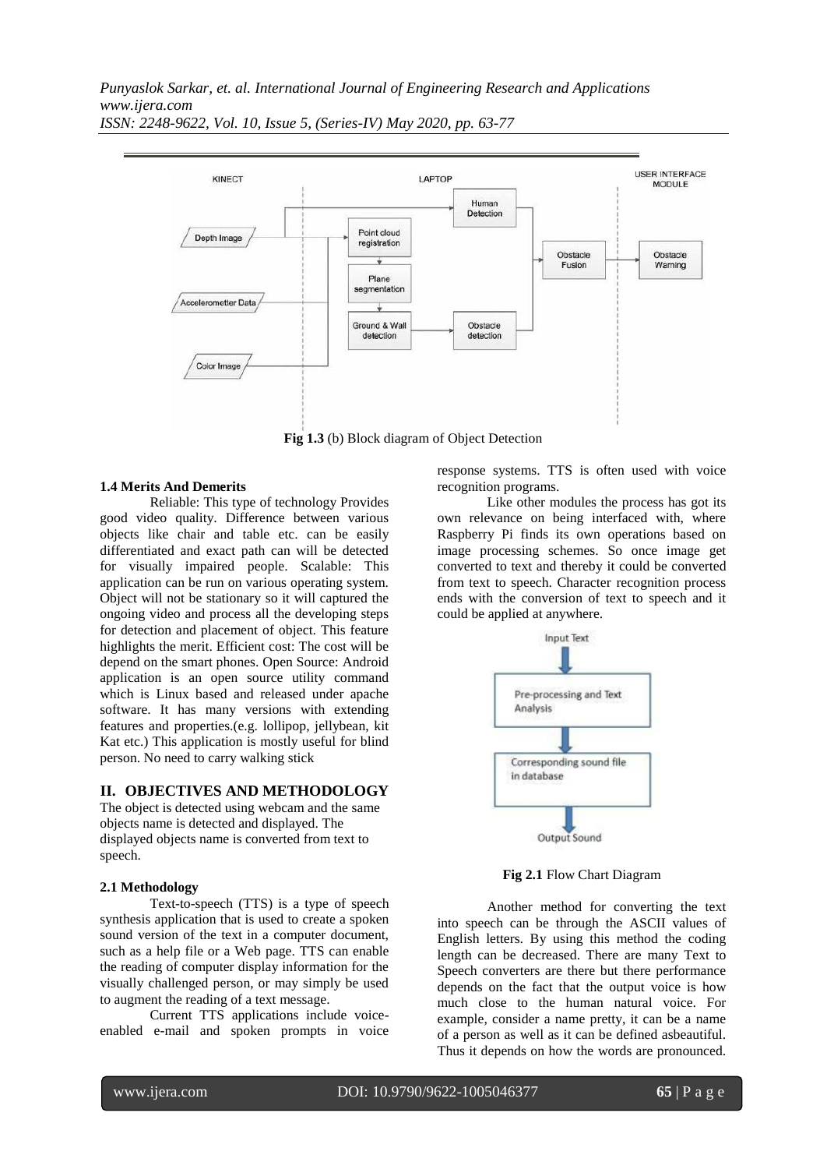

**Fig 1.3** (b) Block diagram of Object Detection

#### **1.4 Merits And Demerits**

Reliable: This type of technology Provides good video quality. Difference between various objects like chair and table etc. can be easily differentiated and exact path can will be detected for visually impaired people. Scalable: This application can be run on various operating system. Object will not be stationary so it will captured the ongoing video and process all the developing steps for detection and placement of object. This feature highlights the merit. Efficient cost: The cost will be depend on the smart phones. Open Source: Android application is an open source utility command which is Linux based and released under apache software. It has many versions with extending features and properties.(e.g. lollipop, jellybean, kit Kat etc.) This application is mostly useful for blind person. No need to carry walking stick

### **II. OBJECTIVES AND METHODOLOGY**

The object is detected using webcam and the same objects name is detected and displayed. The displayed objects name is converted from text to speech.

#### **2.1 Methodology**

Text-to-speech (TTS) is a type of speech synthesis application that is used to create a spoken sound version of the text in a computer document, such as a help file or a Web page. TTS can enable the reading of computer display information for the visually challenged person, or may simply be used to augment the reading of a text message.

Current TTS applications include voiceenabled e-mail and spoken prompts in voice response systems. TTS is often used with voice recognition programs.

Like other modules the process has got its own relevance on being interfaced with, where Raspberry Pi finds its own operations based on image processing schemes. So once image get converted to text and thereby it could be converted from text to speech. Character recognition process ends with the conversion of text to speech and it could be applied at anywhere.



**Fig 2.1** Flow Chart Diagram

Another method for converting the text into speech can be through the ASCII values of English letters. By using this method the coding length can be decreased. There are many Text to Speech converters are there but there performance depends on the fact that the output voice is how much close to the human natural voice. For example, consider a name pretty, it can be a name of a person as well as it can be defined asbeautiful. Thus it depends on how the words are pronounced.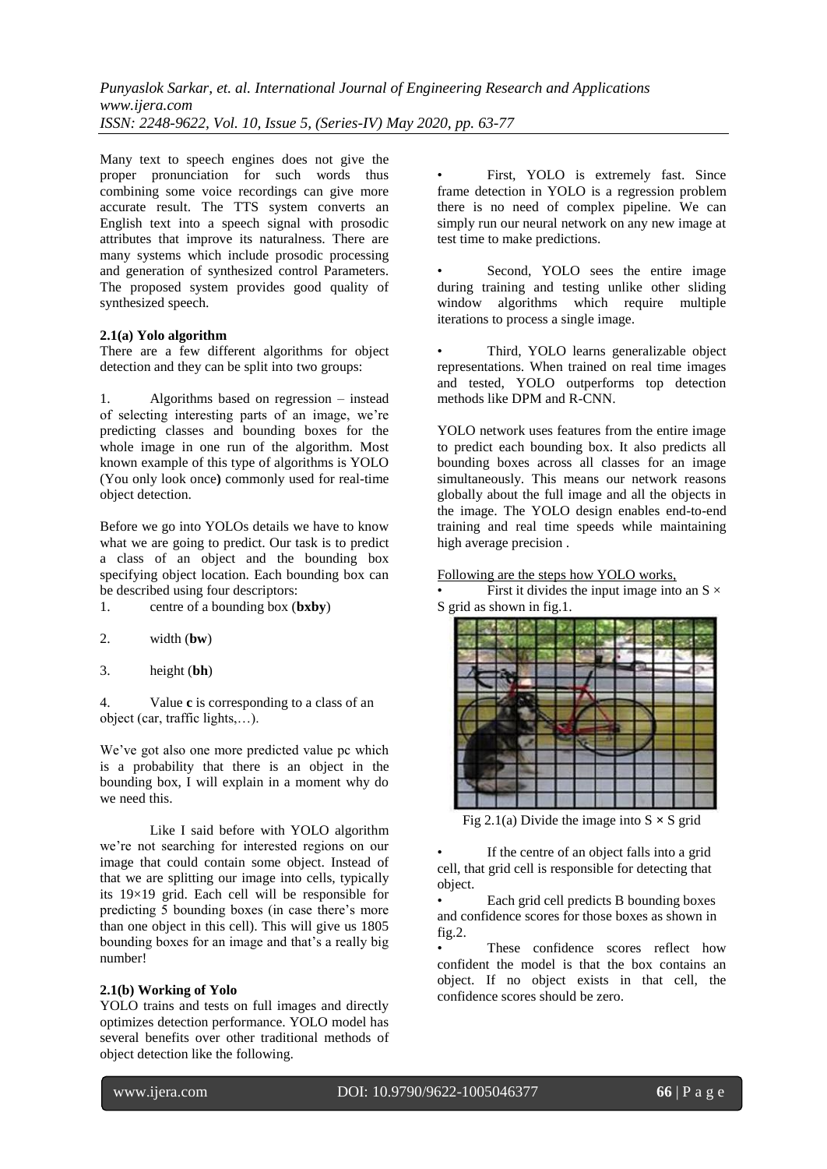Many text to speech engines does not give the proper pronunciation for such words thus combining some voice recordings can give more accurate result. The TTS system converts an English text into a speech signal with prosodic attributes that improve its naturalness. There are many systems which include prosodic processing and generation of synthesized control Parameters. The proposed system provides good quality of synthesized speech.

### **2.1(a) Yolo algorithm**

There are a few different algorithms for object detection and they can be split into two groups:

1. Algorithms based on regression – instead of selecting interesting parts of an image, we"re predicting classes and bounding boxes for the whole image in one run of the algorithm. Most known example of this type of algorithms is YOLO (You only look once**)** commonly used for real-time object detection.

Before we go into YOLOs details we have to know what we are going to predict. Our task is to predict a class of an object and the bounding box specifying object location. Each bounding box can be described using four descriptors:

- 1. centre of a bounding box (**bxby**)
- 2. width (**bw**)
- 3. height (**bh**)

4. Value **c** is corresponding to a class of an object (car, traffic lights,…).

We've got also one more predicted value pc which is a probability that there is an object in the bounding box, I will explain in a moment why do we need this.

Like I said before with YOLO algorithm we're not searching for interested regions on our image that could contain some object. Instead of that we are splitting our image into cells, typically its 19×19 grid. Each cell will be responsible for predicting 5 bounding boxes (in case there"s more than one object in this cell). This will give us 1805 bounding boxes for an image and that"s a really big number!

### **2.1(b) Working of Yolo**

YOLO trains and tests on full images and directly optimizes detection performance. YOLO model has several benefits over other traditional methods of object detection like the following.

• First, YOLO is extremely fast. Since frame detection in YOLO is a regression problem there is no need of complex pipeline. We can simply run our neural network on any new image at test time to make predictions.

Second, YOLO sees the entire image during training and testing unlike other sliding window algorithms which require multiple iterations to process a single image.

• Third, YOLO learns generalizable object representations. When trained on real time images and tested, YOLO outperforms top detection methods like DPM and R-CNN.

YOLO network uses features from the entire image to predict each bounding box. It also predicts all bounding boxes across all classes for an image simultaneously. This means our network reasons globally about the full image and all the objects in the image. The YOLO design enables end-to-end training and real time speeds while maintaining high average precision .

Following are the steps how YOLO works,

First it divides the input image into an  $S \times$ S grid as shown in fig.1.



Fig 2.1(a) Divide the image into  $S \times S$  grid

If the centre of an object falls into a grid cell, that grid cell is responsible for detecting that object.

• Each grid cell predicts B bounding boxes and confidence scores for those boxes as shown in fig.2.

These confidence scores reflect how confident the model is that the box contains an object. If no object exists in that cell, the confidence scores should be zero.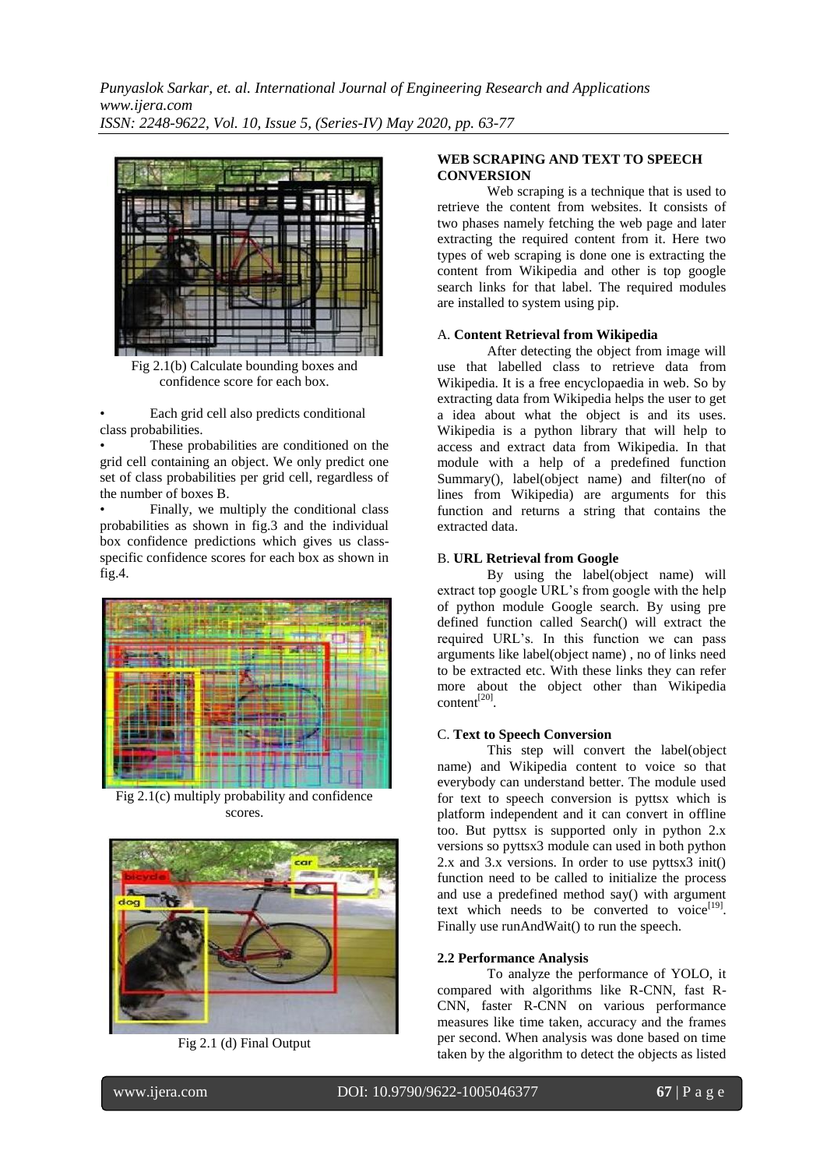

Fig 2.1(b) Calculate bounding boxes and confidence score for each box.

• Each grid cell also predicts conditional class probabilities.

These probabilities are conditioned on the grid cell containing an object. We only predict one set of class probabilities per grid cell, regardless of the number of boxes B.

• Finally, we multiply the conditional class probabilities as shown in fig.3 and the individual box confidence predictions which gives us classspecific confidence scores for each box as shown in fig.4.



Fig 2.1(c) multiply probability and confidence scores.



Fig 2.1 (d) Final Output

# **WEB SCRAPING AND TEXT TO SPEECH CONVERSION**

Web scraping is a technique that is used to retrieve the content from websites. It consists of two phases namely fetching the web page and later extracting the required content from it. Here two types of web scraping is done one is extracting the content from Wikipedia and other is top google search links for that label. The required modules are installed to system using pip.

### A. **Content Retrieval from Wikipedia**

After detecting the object from image will use that labelled class to retrieve data from Wikipedia. It is a free encyclopaedia in web. So by extracting data from Wikipedia helps the user to get a idea about what the object is and its uses. Wikipedia is a python library that will help to access and extract data from Wikipedia. In that module with a help of a predefined function Summary(), label(object name) and filter(no of lines from Wikipedia) are arguments for this function and returns a string that contains the extracted data.

### B. **URL Retrieval from Google**

By using the label(object name) will extract top google URL"s from google with the help of python module Google search. By using pre defined function called Search() will extract the required URL"s. In this function we can pass arguments like label(object name) , no of links need to be extracted etc. With these links they can refer more about the object other than Wikipedia  $content<sup>[20]</sup>$ .

### C. **Text to Speech Conversion**

This step will convert the label(object name) and Wikipedia content to voice so that everybody can understand better. The module used for text to speech conversion is pyttsx which is platform independent and it can convert in offline too. But pyttsx is supported only in python 2.x versions so pyttsx3 module can used in both python 2.x and 3.x versions. In order to use pyttsx3 init() function need to be called to initialize the process and use a predefined method say() with argument text which needs to be converted to voice $[19]$ . Finally use runAndWait() to run the speech.

#### **2.2 Performance Analysis**

To analyze the performance of YOLO, it compared with algorithms like R-CNN, fast R-CNN, faster R-CNN on various performance measures like time taken, accuracy and the frames per second. When analysis was done based on time taken by the algorithm to detect the objects as listed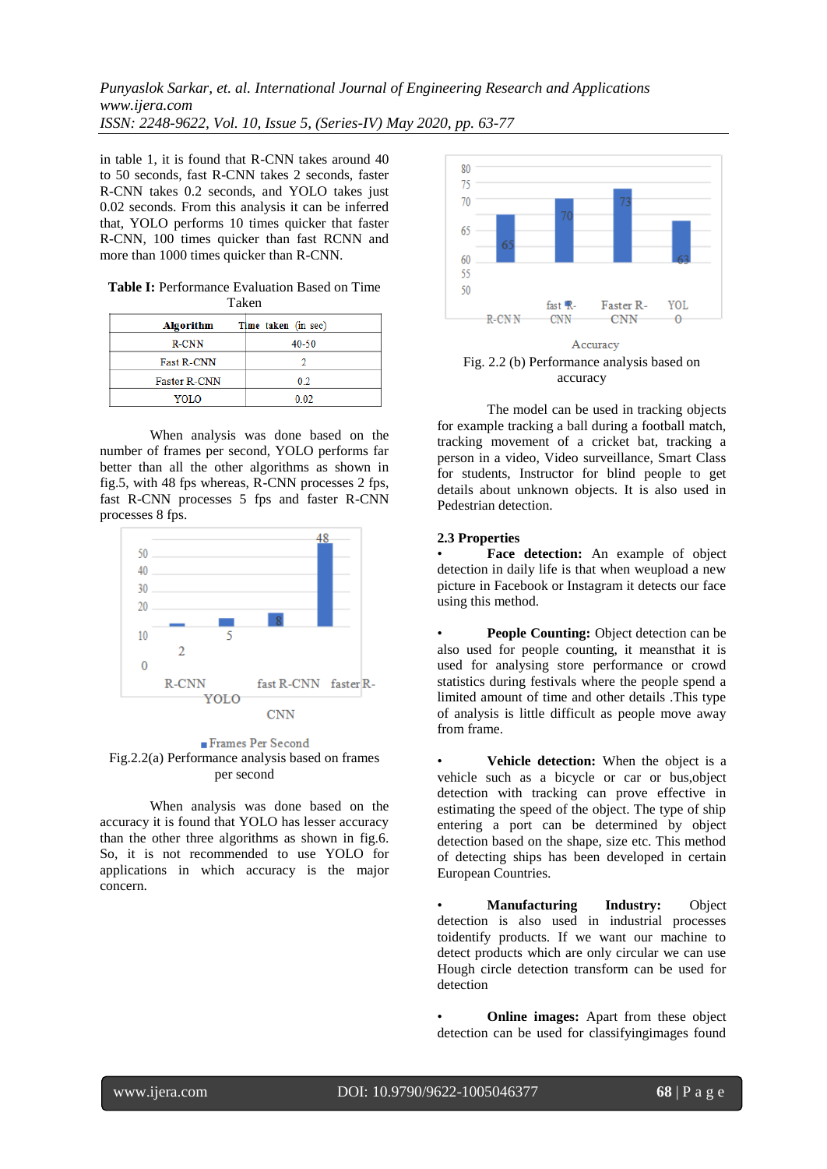in table 1, it is found that R-CNN takes around 40 to 50 seconds, fast R-CNN takes 2 seconds, faster R-CNN takes 0.2 seconds, and YOLO takes just 0.02 seconds. From this analysis it can be inferred that, YOLO performs 10 times quicker that faster R-CNN, 100 times quicker than fast RCNN and more than 1000 times quicker than R-CNN.

|       | <b>Table I:</b> Performance Evaluation Based on Time |  |  |  |  |
|-------|------------------------------------------------------|--|--|--|--|
| Taken |                                                      |  |  |  |  |

| <b>Algorithm</b>    | Time taken (in sec) |
|---------------------|---------------------|
| <b>R-CNN</b>        | 40-50               |
| <b>Fast R-CNN</b>   |                     |
| <b>Faster R-CNN</b> | 0.2                 |
| YOLO                | 0.02                |

When analysis was done based on the number of frames per second, YOLO performs far better than all the other algorithms as shown in fig.5, with 48 fps whereas, R-CNN processes 2 fps, fast R-CNN processes 5 fps and faster R-CNN processes 8 fps.



Frames Per Second Fig.2.2(a) Performance analysis based on frames per second

When analysis was done based on the accuracy it is found that YOLO has lesser accuracy than the other three algorithms as shown in fig.6. So, it is not recommended to use YOLO for applications in which accuracy is the major concern.



accuracy

The model can be used in tracking objects for example tracking a ball during a football match, tracking movement of a cricket bat, tracking a person in a video, Video surveillance, Smart Class for students, Instructor for blind people to get details about unknown objects. It is also used in Pedestrian detection.

# **2.3 Properties**

Face detection: An example of object detection in daily life is that when weupload a new picture in Facebook or Instagram it detects our face using this method.

• **People Counting:** Object detection can be also used for people counting, it meansthat it is used for analysing store performance or crowd statistics during festivals where the people spend a limited amount of time and other details .This type of analysis is little difficult as people move away from frame.

• **Vehicle detection:** When the object is a vehicle such as a bicycle or car or bus,object detection with tracking can prove effective in estimating the speed of the object. The type of ship entering a port can be determined by object detection based on the shape, size etc. This method of detecting ships has been developed in certain European Countries.

• **Manufacturing Industry:** Object detection is also used in industrial processes toidentify products. If we want our machine to detect products which are only circular we can use Hough circle detection transform can be used for detection

**Online images:** Apart from these object detection can be used for classifyingimages found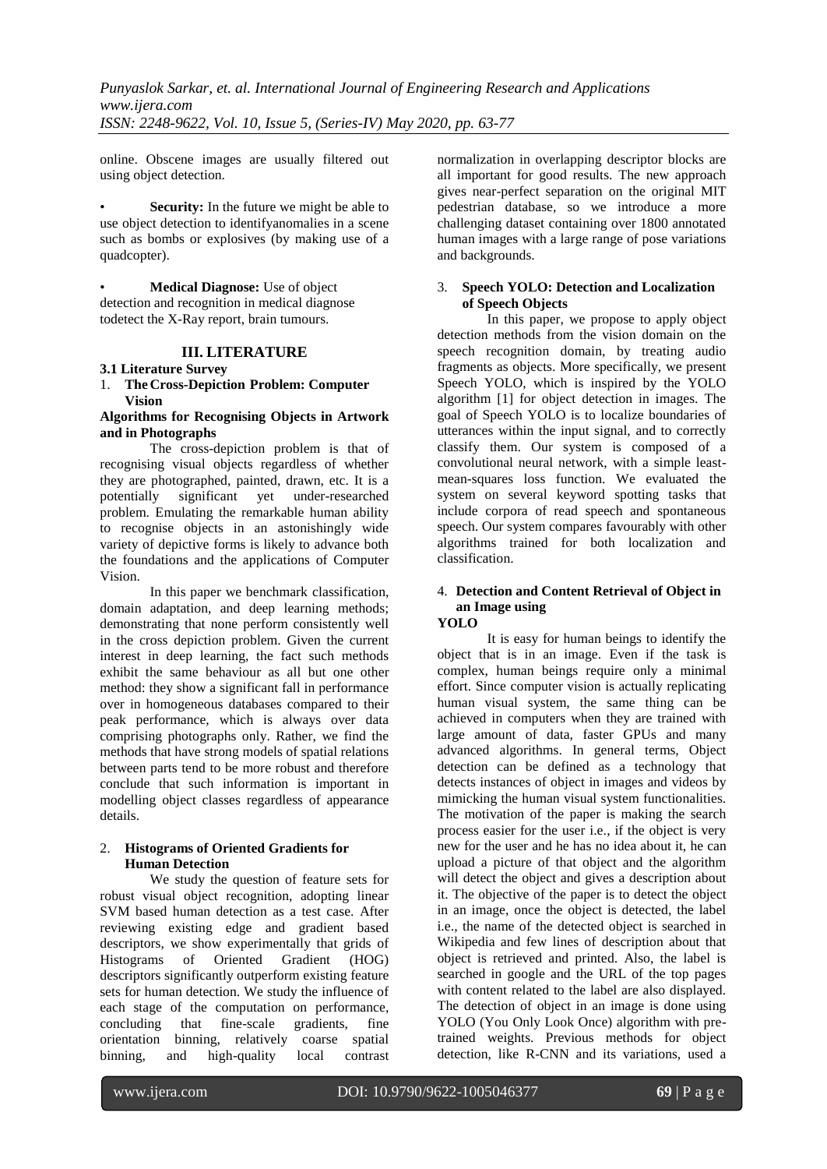online. Obscene images are usually filtered out using object detection.

**Security:** In the future we might be able to use object detection to identifyanomalies in a scene such as bombs or explosives (by making use of a quadcopter).

• **Medical Diagnose:** Use of object detection and recognition in medical diagnose todetect the X-Ray report, brain tumours.

# **III. LITERATURE**

# **3.1 Literature Survey**

# 1. **TheCross-Depiction Problem: Computer Vision**

### **Algorithms for Recognising Objects in Artwork and in Photographs**

The cross-depiction problem is that of recognising visual objects regardless of whether they are photographed, painted, drawn, etc. It is a potentially significant yet under-researched problem. Emulating the remarkable human ability to recognise objects in an astonishingly wide variety of depictive forms is likely to advance both the foundations and the applications of Computer Vision.

In this paper we benchmark classification, domain adaptation, and deep learning methods; demonstrating that none perform consistently well in the cross depiction problem. Given the current interest in deep learning, the fact such methods exhibit the same behaviour as all but one other method: they show a significant fall in performance over in homogeneous databases compared to their peak performance, which is always over data comprising photographs only. Rather, we find the methods that have strong models of spatial relations between parts tend to be more robust and therefore conclude that such information is important in modelling object classes regardless of appearance details.

# 2. **Histograms of Oriented Gradients for Human Detection**

We study the question of feature sets for robust visual object recognition, adopting linear SVM based human detection as a test case. After reviewing existing edge and gradient based descriptors, we show experimentally that grids of<br>Histograms of Oriented Gradient (HOG) Histograms of Oriented Gradient (HOG) descriptors significantly outperform existing feature sets for human detection. We study the influence of each stage of the computation on performance, concluding that fine-scale gradients, fine orientation binning, relatively coarse spatial binning, and high-quality local contrast normalization in overlapping descriptor blocks are all important for good results. The new approach gives near-perfect separation on the original MIT pedestrian database, so we introduce a more challenging dataset containing over 1800 annotated human images with a large range of pose variations and backgrounds.

### 3. **Speech YOLO: Detection and Localization of Speech Objects**

In this paper, we propose to apply object detection methods from the vision domain on the speech recognition domain, by treating audio fragments as objects. More specifically, we present Speech YOLO, which is inspired by the YOLO algorithm [1] for object detection in images. The goal of Speech YOLO is to localize boundaries of utterances within the input signal, and to correctly classify them. Our system is composed of a convolutional neural network, with a simple leastmean-squares loss function. We evaluated the system on several keyword spotting tasks that include corpora of read speech and spontaneous speech. Our system compares favourably with other algorithms trained for both localization and classification.

### 4. **Detection and Content Retrieval of Object in an Image using YOLO**

It is easy for human beings to identify the object that is in an image. Even if the task is complex, human beings require only a minimal effort. Since computer vision is actually replicating human visual system, the same thing can be achieved in computers when they are trained with large amount of data, faster GPUs and many advanced algorithms. In general terms, Object detection can be defined as a technology that detects instances of object in images and videos by mimicking the human visual system functionalities. The motivation of the paper is making the search process easier for the user i.e., if the object is very new for the user and he has no idea about it, he can upload a picture of that object and the algorithm will detect the object and gives a description about it. The objective of the paper is to detect the object in an image, once the object is detected, the label i.e., the name of the detected object is searched in Wikipedia and few lines of description about that object is retrieved and printed. Also, the label is searched in google and the URL of the top pages with content related to the label are also displayed. The detection of object in an image is done using YOLO (You Only Look Once) algorithm with pretrained weights. Previous methods for object detection, like R-CNN and its variations, used a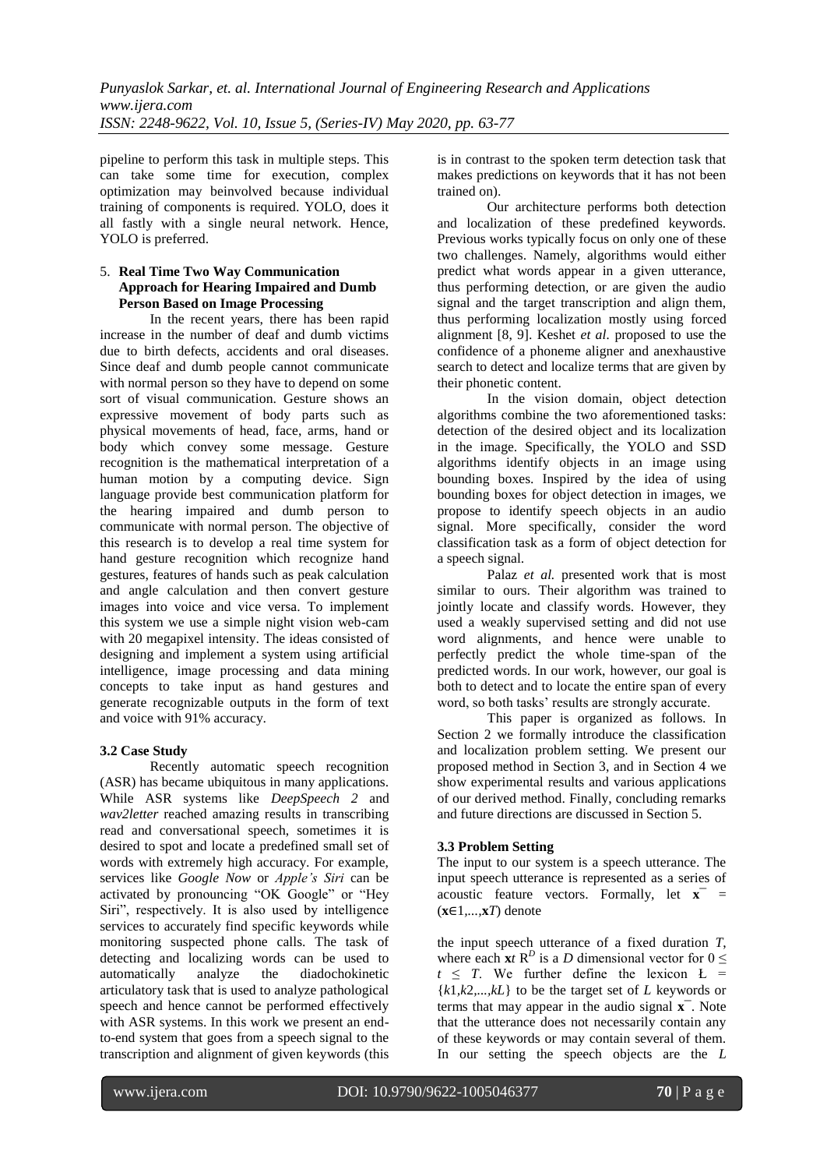pipeline to perform this task in multiple steps. This can take some time for execution, complex optimization may beinvolved because individual training of components is required. YOLO, does it all fastly with a single neural network. Hence, YOLO is preferred.

# 5. **Real Time Two Way Communication Approach for Hearing Impaired and Dumb Person Based on Image Processing**

In the recent years, there has been rapid increase in the number of deaf and dumb victims due to birth defects, accidents and oral diseases. Since deaf and dumb people cannot communicate with normal person so they have to depend on some sort of visual communication. Gesture shows an expressive movement of body parts such as physical movements of head, face, arms, hand or body which convey some message. Gesture recognition is the mathematical interpretation of a human motion by a computing device. Sign language provide best communication platform for the hearing impaired and dumb person to communicate with normal person. The objective of this research is to develop a real time system for hand gesture recognition which recognize hand gestures, features of hands such as peak calculation and angle calculation and then convert gesture images into voice and vice versa. To implement this system we use a simple night vision web-cam with 20 megapixel intensity. The ideas consisted of designing and implement a system using artificial intelligence, image processing and data mining concepts to take input as hand gestures and generate recognizable outputs in the form of text and voice with 91% accuracy.

# **3.2 Case Study**

Recently automatic speech recognition (ASR) has became ubiquitous in many applications. While ASR systems like *DeepSpeech 2* and *wav2letter* reached amazing results in transcribing read and conversational speech, sometimes it is desired to spot and locate a predefined small set of words with extremely high accuracy. For example, services like *Google Now* or *Apple's Siri* can be activated by pronouncing "OK Google" or "Hey Siri", respectively. It is also used by intelligence services to accurately find specific keywords while monitoring suspected phone calls. The task of detecting and localizing words can be used to automatically analyze the diadochokinetic articulatory task that is used to analyze pathological speech and hence cannot be performed effectively with ASR systems. In this work we present an endto-end system that goes from a speech signal to the transcription and alignment of given keywords (this is in contrast to the spoken term detection task that makes predictions on keywords that it has not been trained on).

Our architecture performs both detection and localization of these predefined keywords. Previous works typically focus on only one of these two challenges. Namely, algorithms would either predict what words appear in a given utterance, thus performing detection, or are given the audio signal and the target transcription and align them, thus performing localization mostly using forced alignment [8, 9]. Keshet *et al.* proposed to use the confidence of a phoneme aligner and anexhaustive search to detect and localize terms that are given by their phonetic content.

In the vision domain, object detection algorithms combine the two aforementioned tasks: detection of the desired object and its localization in the image. Specifically, the YOLO and SSD algorithms identify objects in an image using bounding boxes. Inspired by the idea of using bounding boxes for object detection in images, we propose to identify speech objects in an audio signal. More specifically, consider the word classification task as a form of object detection for a speech signal.

Palaz *et al.* presented work that is most similar to ours. Their algorithm was trained to jointly locate and classify words. However, they used a weakly supervised setting and did not use word alignments, and hence were unable to perfectly predict the whole time-span of the predicted words. In our work, however, our goal is both to detect and to locate the entire span of every word, so both tasks" results are strongly accurate.

This paper is organized as follows. In Section 2 we formally introduce the classification and localization problem setting. We present our proposed method in Section 3, and in Section 4 we show experimental results and various applications of our derived method. Finally, concluding remarks and future directions are discussed in Section 5.

# **3.3 Problem Setting**

The input to our system is a speech utterance. The input speech utterance is represented as a series of acoustic feature vectors. Formally, let  $\mathbf{x}^-$  = (**x**∈1*,...,***x***T*) denote

the input speech utterance of a fixed duration *T*, where each  $\mathbf{x}$ *t* R<sup>*D*</sup> is a *D* dimensional vector for  $0 \leq$  $t \leq T$ . We further define the lexicon  $L =$  ${k1, k2,..., kL}$  to be the target set of *L* keywords or terms that may appear in the audio signal **x**¯. Note that the utterance does not necessarily contain any of these keywords or may contain several of them. In our setting the speech objects are the *L*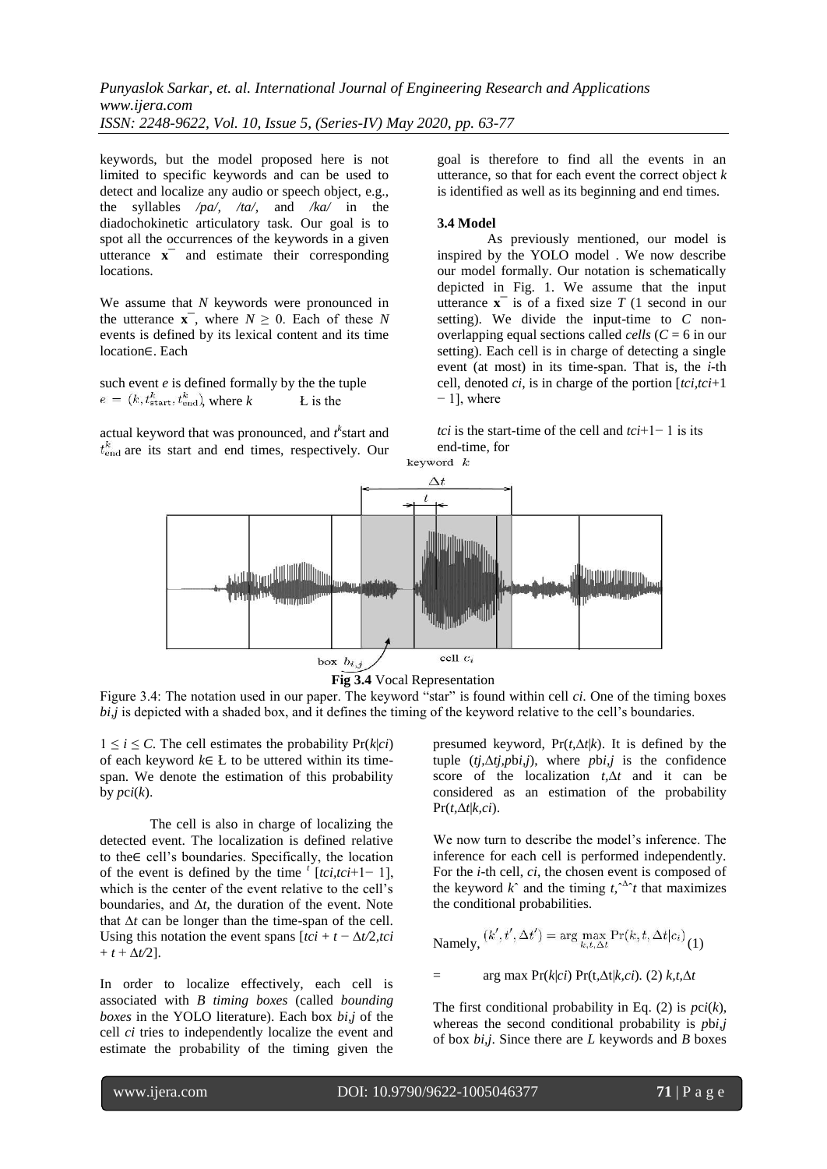keywords, but the model proposed here is not limited to specific keywords and can be used to detect and localize any audio or speech object, e.g., the syllables */pa/, /ta/,* and */ka/* in the diadochokinetic articulatory task. Our goal is to spot all the occurrences of the keywords in a given utterance  $\mathbf{x}^-$  and estimate their corresponding locations.

We assume that *N* keywords were pronounced in the utterance  $\mathbf{x}^-$ , where  $N \geq 0$ . Each of these N events is defined by its lexical content and its time location∈. Each

such event *e* is defined formally by the the tuple  $e = (k, t_{\text{start}}^k, t_{\text{end}}^k)$ , where  $k$  L is the

actual keyword that was pronounced, and  $t^k$  start and  $t_{\text{end}}^k$  are its start and end times, respectively. Our

goal is therefore to find all the events in an utterance, so that for each event the correct object *k* is identified as well as its beginning and end times.

# **3.4 Model**

As previously mentioned, our model is inspired by the YOLO model . We now describe our model formally. Our notation is schematically depicted in Fig. 1. We assume that the input utterance  $\mathbf{x}^-$  is of a fixed size *T* (1 second in our setting). We divide the input-time to *C* nonoverlapping equal sections called *cells* (*C* = 6 in our setting). Each cell is in charge of detecting a single event (at most) in its time-span. That is, the *i*-th cell, denoted *ci*, is in charge of the portion [*tci,tci*+1 − 1], where

*tci* is the start-time of the cell and *tci*+1− 1 is its end-time, for





Figure 3.4: The notation used in our paper. The keyword "star" is found within cell *ci*. One of the timing boxes *bi,j* is depicted with a shaded box, and it defines the timing of the keyword relative to the cell's boundaries.

 $1 \leq i \leq C$ . The cell estimates the probability  $Pr(k|ci)$ of each keyword *k*∈ Ł to be uttered within its timespan. We denote the estimation of this probability by  $pci(k)$ .

The cell is also in charge of localizing the detected event. The localization is defined relative to the∈ cell"s boundaries. Specifically, the location of the event is defined by the time  $\int$ <sup>t</sup>  $[tci,tci+1-1]$ , which is the center of the event relative to the cell's boundaries, and ∆*t*, the duration of the event. Note that ∆*t* can be longer than the time-span of the cell. Using this notation the event spans  $[tci + t - \Delta t/2, tci]$  $+ t + \Delta t/2$ ].

In order to localize effectively, each cell is associated with *B timing boxes* (called *bounding boxes* in the YOLO literature). Each box *bi,j* of the cell *ci* tries to independently localize the event and estimate the probability of the timing given the

presumed keyword, Pr(*t,*∆*t*|*k*). It is defined by the tuple (*tj,*∆*tj,p*b*i,j*), where *p*b*i,j* is the confidence score of the localization *t,*∆*t* and it can be considered as an estimation of the probability Pr(*t,*∆*t*|*k,ci*).

<span id="page-8-0"></span>We now turn to describe the model's inference. The inference for each cell is performed independently. For the *i*-th cell, *ci*, the chosen event is composed of the keyword  $k^{\hat{}}$  and the timing  $t, \hat{ }^{\hat{}}t$  that maximizes the conditional probabilities.

$$
\text{Namely, } (k', t', \Delta t') = \arg \max_{k, t, \Delta t} \Pr(k, t, \Delta t | c_i) \binom{1}{k}
$$

= arg max Pr(*k*|*ci*) Pr(t*,*∆t|*k,ci*)*.* (2) *k,t,*∆*t*

The first conditional probability in Eq.  $(2)$  is  $pci(k)$ , whereas the second conditional probability is *p*b*i,j* of box *bi,j*. Since there are *L* keywords and *B* boxes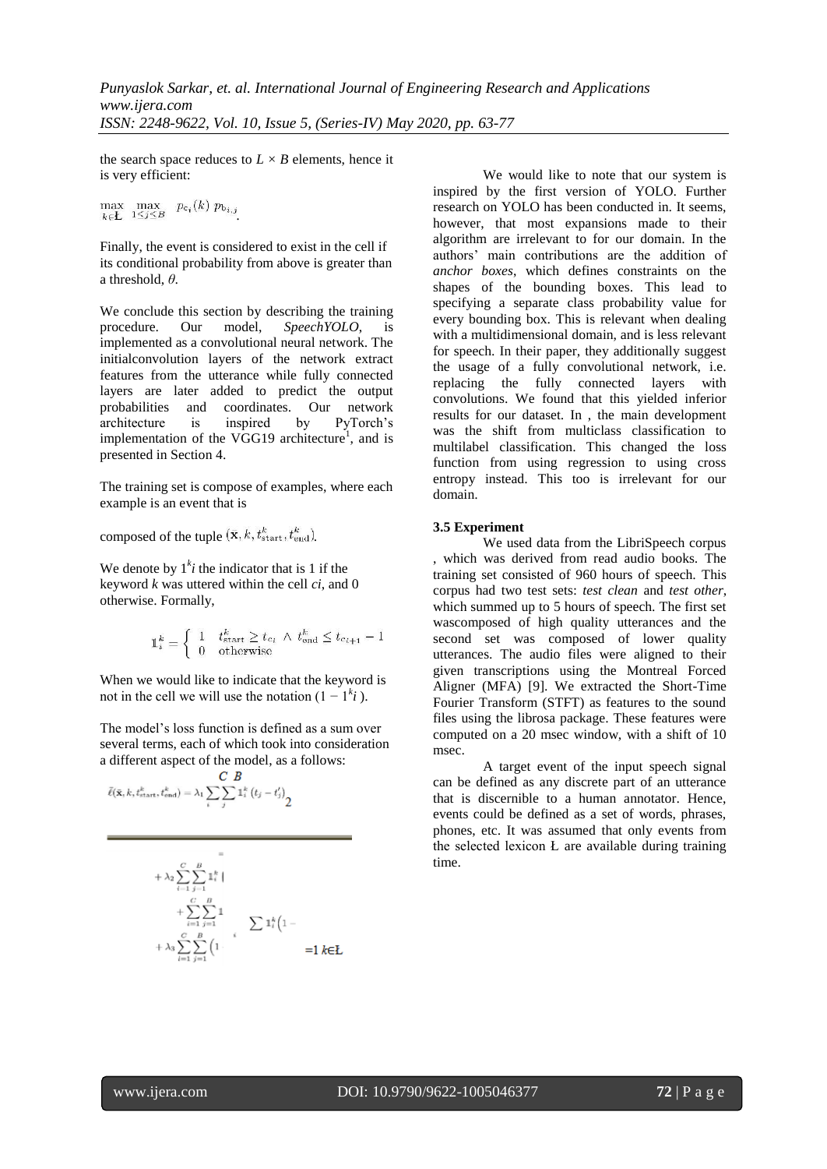the search space reduces to  $L \times B$  elements, hence it is very efficient:

 $\max_{k \in \mathbf{L}} \max_{1 \leq j \leq B} p_{c_i}(k) p_{b_{i,j}}$ 

Finally, the event is considered to exist in the cell if its conditional probability from above is greater than a threshold, *θ*.

We conclude this section by describing the training procedure. Our model, *SpeechYOLO*, is implemented as a convolutional neural network. The initialconvolution layers of the network extract features from the utterance while fully connected layers are later added to predict the output probabilities and coordinates. Our network architecture is inspired by PyTorch"s implementation of the VGG19 architecture<sup>1</sup>[,](#page-8-0) and is presented in Section 4.

The training set is compose of examples, where each example is an event that is

composed of the tuple  $(\bar{\mathbf{x}}, k, t_{\text{start}}^k, t_{\text{end}}^k)$ .

We denote by  $1<sup>k</sup>i$  the indicator that is 1 if the keyword *k* was uttered within the cell *ci*, and 0 otherwise. Formally,

$$
\mathbb{1}^k_i = \left\{ \begin{array}{ll} 1 & t^k_{\text{start}} \geq t_{c_i} \ \wedge \ t^k_{\text{end}} \leq t_{c_{i+1}} - 1 \\ 0 & \text{otherwise} \end{array} \right.
$$

When we would like to indicate that the keyword is not in the cell we will use the notation  $(1 - 1^k i)$ .

The model"s loss function is defined as a sum over several terms, each of which took into consideration a different aspect of the model, as a follows:

$$
\bar{\ell}(\bar{\mathbf{x}},k,t_{\text{start}}^k,t_{\text{end}}^k) = \lambda_1 \sum_{i} \sum_{j} \sum_{j} \mathbf{1}_i^k (t_j - t_j') \frac{1}{2}
$$

$$
+\lambda_2 \sum_{i=1}^{C} \sum_{j=1}^{B} \mathbb{1}_i^k
$$
  
+
$$
\sum_{i=1}^{C} \sum_{j=1}^{B} \mathbb{1}
$$
  
+
$$
\lambda_3 \sum_{i=1}^{C} \sum_{j=1}^{B} \left(1 - \sum_{i=1}^{K} \mathbb{1}_i^k\right)
$$
  
=1  $k \in \mathbb{Z}$ 

We would like to note that our system is inspired by the first version of YOLO. Further research on YOLO has been conducted in. It seems, however, that most expansions made to their algorithm are irrelevant to for our domain. In the authors" main contributions are the addition of *anchor boxes*, which defines constraints on the shapes of the bounding boxes. This lead to specifying a separate class probability value for every bounding box. This is relevant when dealing with a multidimensional domain, and is less relevant for speech. In their paper, they additionally suggest the usage of a fully convolutional network, i.e. replacing the fully connected layers with convolutions. We found that this yielded inferior results for our dataset. In , the main development was the shift from multiclass classification to multilabel classification. This changed the loss function from using regression to using cross entropy instead. This too is irrelevant for our domain.

# **3.5 Experiment**

We used data from the LibriSpeech corpus , which was derived from read audio books. The training set consisted of 960 hours of speech. This corpus had two test sets: *test clean* and *test other*, which summed up to 5 hours of speech. The first set wascomposed of high quality utterances and the second set was composed of lower quality utterances. The audio files were aligned to their given transcriptions using the Montreal Forced Aligner (MFA) [9]. We extracted the Short-Time Fourier Transform (STFT) as features to the sound files using the librosa package. These features were computed on a 20 msec window, with a shift of 10 msec.

A target event of the input speech signal can be defined as any discrete part of an utterance that is discernible to a human annotator. Hence, events could be defined as a set of words, phrases, phones, etc. It was assumed that only events from the selected lexicon  $L$  are available during training time.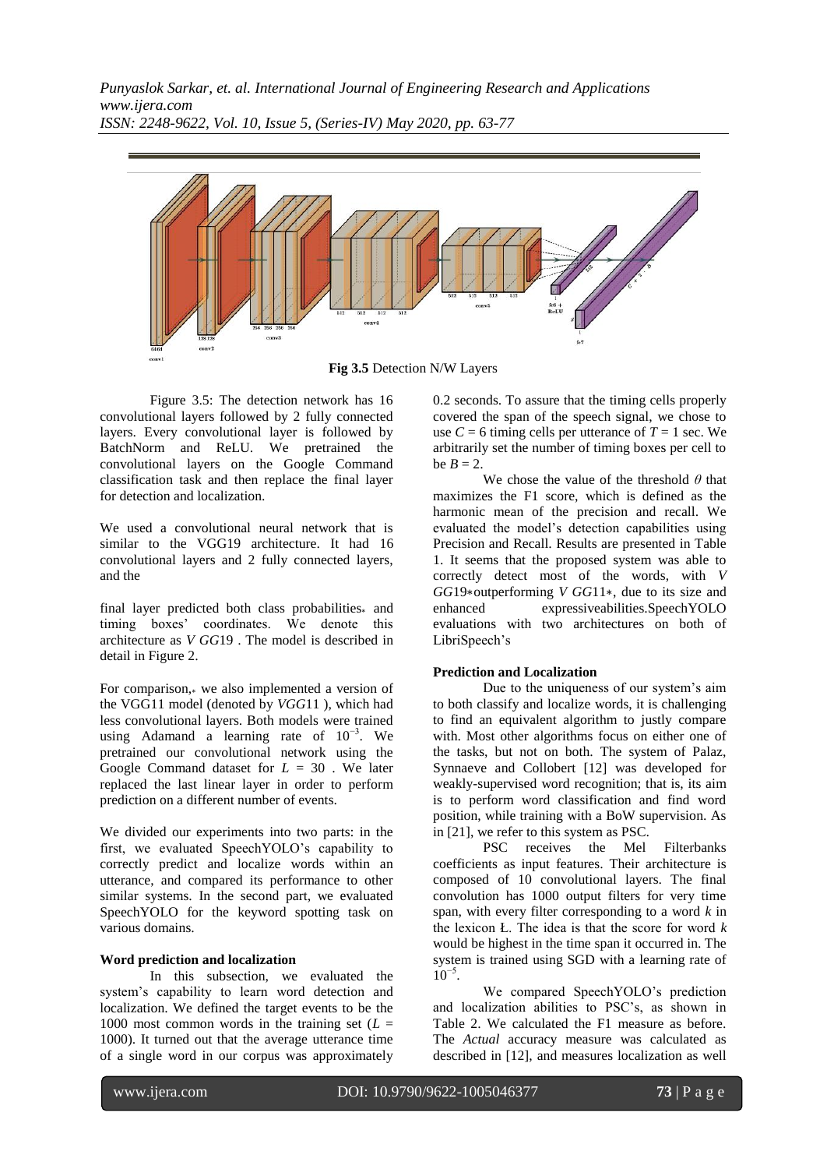

**Fig 3.5** Detection N/W Layers

Figure 3.5: The detection network has 16 convolutional layers followed by 2 fully connected layers. Every convolutional layer is followed by BatchNorm and ReLU. We pretrained the convolutional layers on the Google Command classification task and then replace the final layer for detection and localization.

We used a convolutional neural network that is similar to the VGG19 architecture. It had 16 convolutional layers and 2 fully connected layers, and the

final layer predicted both class probabilities<sup>∗</sup> and timing boxes" coordinates. We denote this architecture as *V GG*19 . The model is described in detail in Figure 2.

For comparison,<sup>∗</sup> we also implemented a version of the VGG11 model (denoted by *VGG*11 ), which had less convolutional layers. Both models were trained using Adamand a learning rate of  $10^{-3}$ . We pretrained our convolutional network using the Google Command dataset for *L* = 30 . We later replaced the last linear layer in order to perform prediction on a different number of events.

We divided our experiments into two parts: in the first, we evaluated SpeechYOLO"s capability to correctly predict and localize words within an utterance, and compared its performance to other similar systems. In the second part, we evaluated SpeechYOLO for the keyword spotting task on various domains.

# **Word prediction and localization**

In this subsection, we evaluated the system"s capability to learn word detection and localization. We defined the target events to be the 1000 most common words in the training set  $(L =$ 1000). It turned out that the average utterance time of a single word in our corpus was approximately 0.2 seconds. To assure that the timing cells properly covered the span of the speech signal, we chose to use  $C = 6$  timing cells per utterance of  $T = 1$  sec. We arbitrarily set the number of timing boxes per cell to be  $B = 2$ .

We chose the value of the threshold *θ* that maximizes the F1 score, which is defined as the harmonic mean of the precision and recall. We evaluated the model"s detection capabilities using Precision and Recall. Results are presented in Table 1. It seems that the proposed system was able to correctly detect most of the words, with *V GG*19∗outperforming *V GG*11∗, due to its size and enhanced expressiveabilities.SpeechYOLO evaluations with two architectures on both of LibriSpeech"s

# **Prediction and Localization**

Due to the uniqueness of our system"s aim to both classify and localize words, it is challenging to find an equivalent algorithm to justly compare with. Most other algorithms focus on either one of the tasks, but not on both. The system of Palaz, Synnaeve and Collobert [12] was developed for weakly-supervised word recognition; that is, its aim is to perform word classification and find word position, while training with a BoW supervision. As in [21], we refer to this system as PSC.

PSC receives the Mel Filterbanks coefficients as input features. Their architecture is composed of 10 convolutional layers. The final convolution has 1000 output filters for very time span, with every filter corresponding to a word *k* in the lexicon Ł. The idea is that the score for word *k* would be highest in the time span it occurred in. The system is trained using SGD with a learning rate of  $10^{-5}$ .

We compared SpeechYOLO"s prediction and localization abilities to PSC"s, as shown in Table 2. We calculated the F1 measure as before. The *Actual* accuracy measure was calculated as described in [12], and measures localization as well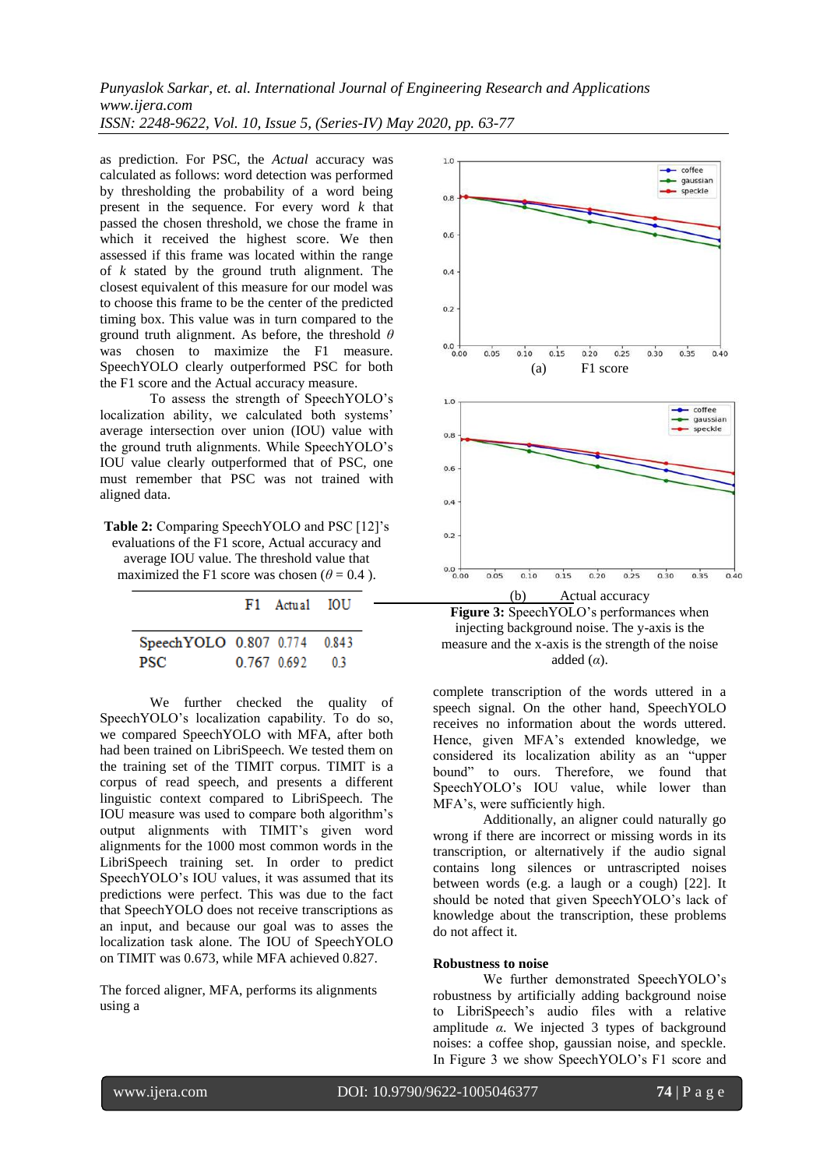as prediction. For PSC, the *Actual* accuracy was calculated as follows: word detection was performed by thresholding the probability of a word being present in the sequence. For every word *k* that passed the chosen threshold, we chose the frame in which it received the highest score. We then assessed if this frame was located within the range of *k* stated by the ground truth alignment. The closest equivalent of this measure for our model was to choose this frame to be the center of the predicted timing box. This value was in turn compared to the ground truth alignment. As before, the threshold *θ* was chosen to maximize the F1 measure. SpeechYOLO clearly outperformed PSC for both the F1 score and the Actual accuracy measure.

To assess the strength of SpeechYOLO"s localization ability, we calculated both systems' average intersection over union (IOU) value with the ground truth alignments. While SpeechYOLO"s IOU value clearly outperformed that of PSC, one must remember that PSC was not trained with aligned data.

**Table 2:** Comparing SpeechYOLO and PSC [12]"s evaluations of the F1 score, Actual accuracy and average IOU value. The threshold value that maximized the F1 score was chosen ( $\theta$  = 0.4).

|                              | F1 Actual IOU |      |
|------------------------------|---------------|------|
| SpeechYOLO 0.807 0.774 0.843 |               |      |
| PSC.                         | 0.767 0.692   | - 03 |

We further checked the quality of SpeechYOLO"s localization capability. To do so, we compared SpeechYOLO with MFA, after both had been trained on LibriSpeech. We tested them on the training set of the TIMIT corpus. TIMIT is a corpus of read speech, and presents a different linguistic context compared to LibriSpeech. The IOU measure was used to compare both algorithm"s output alignments with TIMIT"s given word alignments for the 1000 most common words in the LibriSpeech training set. In order to predict SpeechYOLO"s IOU values, it was assumed that its predictions were perfect. This was due to the fact that SpeechYOLO does not receive transcriptions as an input, and because our goal was to asses the localization task alone. The IOU of SpeechYOLO on TIMIT was 0.673, while MFA achieved 0.827.

The forced aligner, MFA, performs its alignments using a





complete transcription of the words uttered in a speech signal. On the other hand, SpeechYOLO receives no information about the words uttered. Hence, given MFA"s extended knowledge, we considered its localization ability as an "upper bound" to ours. Therefore, we found that SpeechYOLO"s IOU value, while lower than MFA"s, were sufficiently high.

Additionally, an aligner could naturally go wrong if there are incorrect or missing words in its transcription, or alternatively if the audio signal contains long silences or untrascripted noises between words (e.g. a laugh or a cough) [22]. It should be noted that given SpeechYOLO"s lack of knowledge about the transcription, these problems do not affect it.

### **Robustness to noise**

We further demonstrated SpeechYOLO"s robustness by artificially adding background noise to LibriSpeech"s audio files with a relative amplitude *α*. We injected 3 types of background noises: a coffee shop, gaussian noise, and speckle. In Figure 3 we show SpeechYOLO"s F1 score and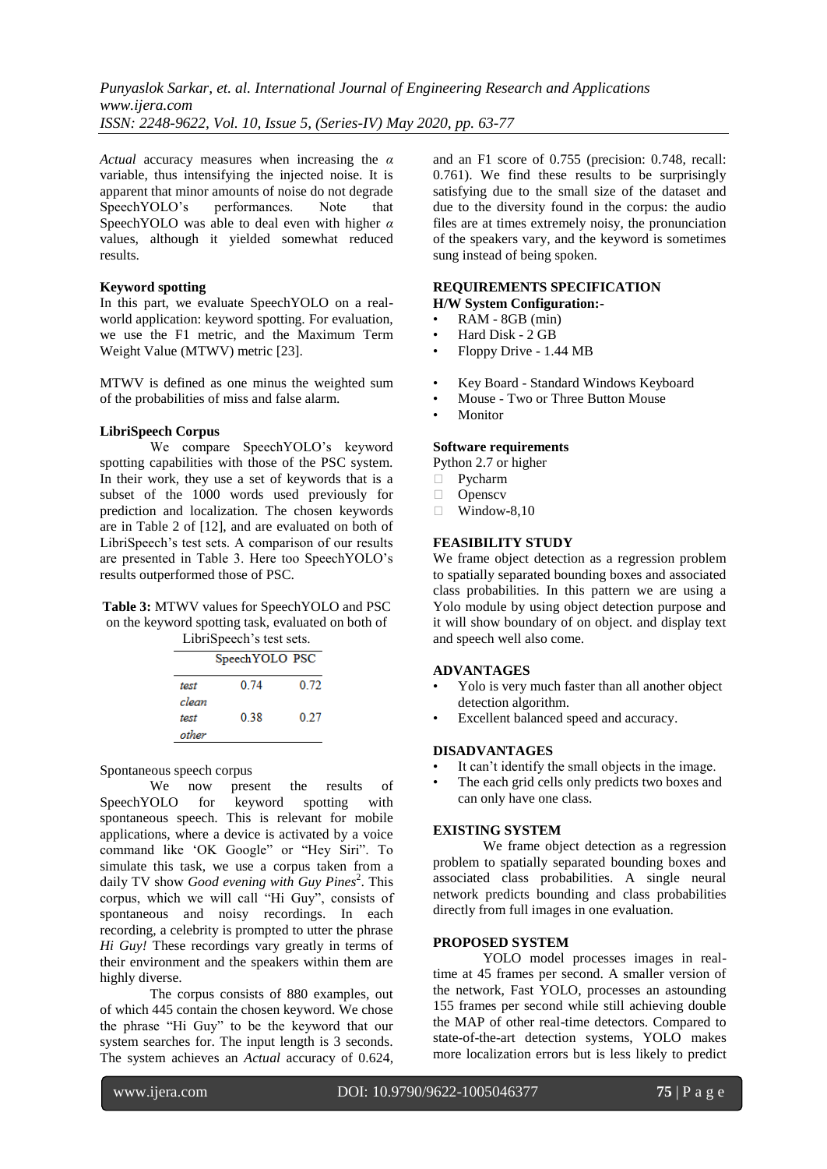*Actual* accuracy measures when increasing the *α* variable, thus intensifying the injected noise. It is apparent that minor amounts of noise do not degrade SpeechYOLO's performances. Note that SpeechYOLO was able to deal even with higher *α* values, although it yielded somewhat reduced results.

### **Keyword spotting**

In this part, we evaluate SpeechYOLO on a realworld application: keyword spotting. For evaluation, we use the F1 metric, and the Maximum Term Weight Value (MTWV) metric [23].

MTWV is defined as one minus the weighted sum of the probabilities of miss and false alarm.

### **LibriSpeech Corpus**

We compare SpeechYOLO"s keyword spotting capabilities with those of the PSC system. In their work, they use a set of keywords that is a subset of the 1000 words used previously for prediction and localization. The chosen keywords are in Table 2 of [12], and are evaluated on both of LibriSpeech"s test sets. A comparison of our results are presented in Table 3. Here too SpeechYOLO"s results outperformed those of PSC.

#### **Table 3:** MTWV values for SpeechYOLO and PSC on the keyword spotting task, evaluated on both of LibriSpeech's test sets.

|                 | LIBROUGHED IN SUB. |      |  |
|-----------------|--------------------|------|--|
| Speech YOLO PSC |                    |      |  |
| test            | 0.74               | 0.72 |  |

| 0.38 | 0.27 |
|------|------|
|      |      |
|      |      |

<span id="page-12-0"></span>Spontaneous speech corpus

We now present the results of SpeechYOLO for keyword spotting with spontaneous speech. This is relevant for mobile applications, where a device is activated by a voice command like "OK Google" or "Hey Siri". To simulate this task, we use a corpus taken from a daily TV show *Good evening with Guy Pines*<sup>2</sup>[.](#page-12-0) This corpus, which we will call "Hi Guy", consists of spontaneous and noisy recordings. In each recording, a celebrity is prompted to utter the phrase *Hi Guy!* These recordings vary greatly in terms of their environment and the speakers within them are highly diverse.

The corpus consists of 880 examples, out of which 445 contain the chosen keyword. We chose the phrase "Hi Guy" to be the keyword that our system searches for. The input length is 3 seconds. The system achieves an *Actual* accuracy of 0.624, and an F1 score of 0.755 (precision: 0.748, recall: 0.761). We find these results to be surprisingly satisfying due to the small size of the dataset and due to the diversity found in the corpus: the audio files are at times extremely noisy, the pronunciation of the speakers vary, and the keyword is sometimes sung instead of being spoken.

#### **REQUIREMENTS SPECIFICATION H/W System Configuration:-**

- RAM 8GB (min)
- Hard Disk 2 GB
- Floppy Drive 1.44 MB
- Key Board Standard Windows Keyboard
- Mouse Two or Three Button Mouse
- **Monitor**

### **Software requirements**

Python 2.7 or higher

- Pycharm
- D Openscv
- $\Box$  Window-8.10

# **FEASIBILITY STUDY**

We frame object detection as a regression problem to spatially separated bounding boxes and associated class probabilities. In this pattern we are using a Yolo module by using object detection purpose and it will show boundary of on object. and display text and speech well also come.

#### **ADVANTAGES**

- Yolo is very much faster than all another object detection algorithm.
- Excellent balanced speed and accuracy.

### **DISADVANTAGES**

- It can't identify the small objects in the image.
- The each grid cells only predicts two boxes and can only have one class.

# **EXISTING SYSTEM**

We frame object detection as a regression problem to spatially separated bounding boxes and associated class probabilities. A single neural network predicts bounding and class probabilities directly from full images in one evaluation.

#### **PROPOSED SYSTEM**

YOLO model processes images in realtime at 45 frames per second. A smaller version of the network, Fast YOLO, processes an astounding 155 frames per second while still achieving double the MAP of other real-time detectors. Compared to state-of-the-art detection systems, YOLO makes more localization errors but is less likely to predict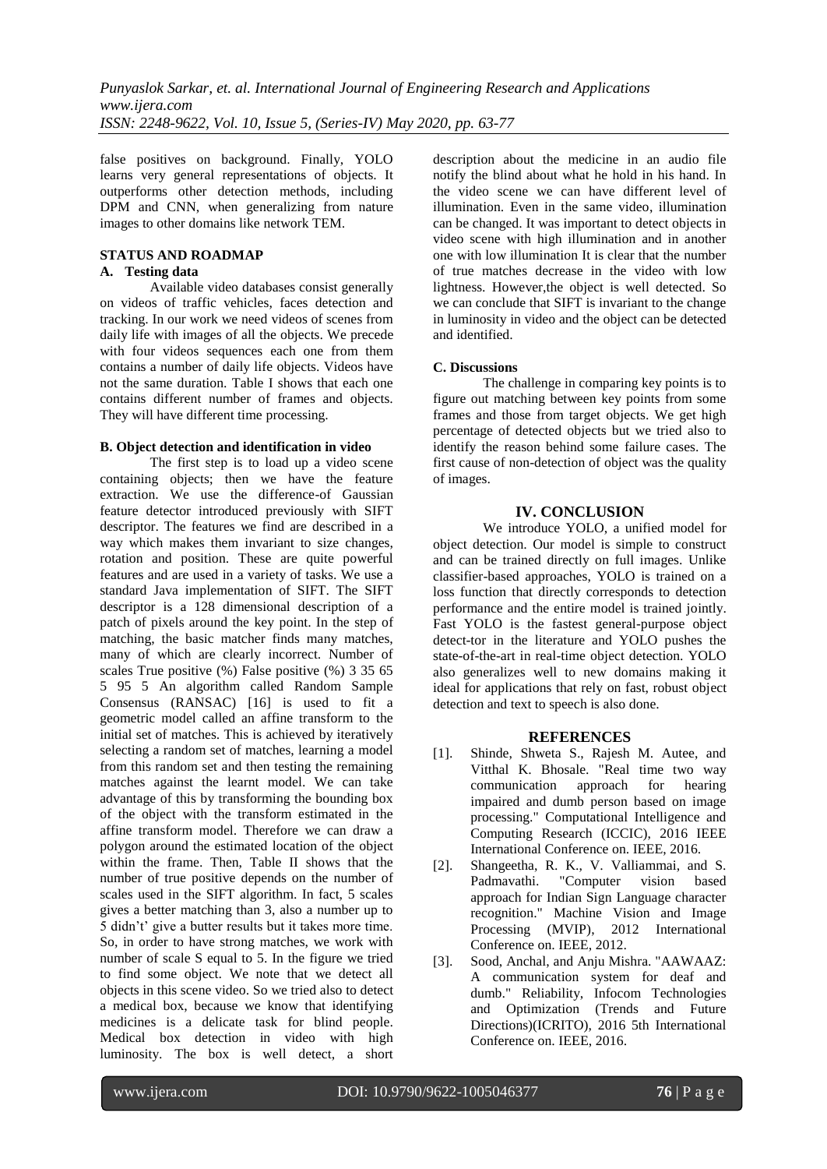false positives on background. Finally, YOLO learns very general representations of objects. It outperforms other detection methods, including DPM and CNN, when generalizing from nature images to other domains like network TEM.

# **STATUS AND ROADMAP**

# **A. Testing data**

Available video databases consist generally on videos of traffic vehicles, faces detection and tracking. In our work we need videos of scenes from daily life with images of all the objects. We precede with four videos sequences each one from them contains a number of daily life objects. Videos have not the same duration. Table I shows that each one contains different number of frames and objects. They will have different time processing.

### **B. Object detection and identification in video**

The first step is to load up a video scene containing objects; then we have the feature extraction. We use the difference-of Gaussian feature detector introduced previously with SIFT descriptor. The features we find are described in a way which makes them invariant to size changes, rotation and position. These are quite powerful features and are used in a variety of tasks. We use a standard Java implementation of SIFT. The SIFT descriptor is a 128 dimensional description of a patch of pixels around the key point. In the step of matching, the basic matcher finds many matches, many of which are clearly incorrect. Number of scales True positive (%) False positive (%) 3 35 65 5 95 5 An algorithm called Random Sample Consensus (RANSAC) [16] is used to fit a geometric model called an affine transform to the initial set of matches. This is achieved by iteratively selecting a random set of matches, learning a model from this random set and then testing the remaining matches against the learnt model. We can take advantage of this by transforming the bounding box of the object with the transform estimated in the affine transform model. Therefore we can draw a polygon around the estimated location of the object within the frame. Then, Table II shows that the number of true positive depends on the number of scales used in the SIFT algorithm. In fact, 5 scales gives a better matching than 3, also a number up to 5 didn"t" give a butter results but it takes more time. So, in order to have strong matches, we work with number of scale S equal to 5. In the figure we tried to find some object. We note that we detect all objects in this scene video. So we tried also to detect a medical box, because we know that identifying medicines is a delicate task for blind people. Medical box detection in video with high luminosity. The box is well detect, a short description about the medicine in an audio file notify the blind about what he hold in his hand. In the video scene we can have different level of illumination. Even in the same video, illumination can be changed. It was important to detect objects in video scene with high illumination and in another one with low illumination It is clear that the number of true matches decrease in the video with low lightness. However,the object is well detected. So we can conclude that SIFT is invariant to the change in luminosity in video and the object can be detected and identified.

# **C. Discussions**

The challenge in comparing key points is to figure out matching between key points from some frames and those from target objects. We get high percentage of detected objects but we tried also to identify the reason behind some failure cases. The first cause of non-detection of object was the quality of images.

# **IV. CONCLUSION**

We introduce YOLO, a unified model for object detection. Our model is simple to construct and can be trained directly on full images. Unlike classifier-based approaches, YOLO is trained on a loss function that directly corresponds to detection performance and the entire model is trained jointly. Fast YOLO is the fastest general-purpose object detect-tor in the literature and YOLO pushes the state-of-the-art in real-time object detection. YOLO also generalizes well to new domains making it ideal for applications that rely on fast, robust object detection and text to speech is also done.

# **REFERENCES**

- [1]. Shinde, Shweta S., Rajesh M. Autee, and Vitthal K. Bhosale. "Real time two way communication approach for hearing impaired and dumb person based on image processing." Computational Intelligence and Computing Research (ICCIC), 2016 IEEE International Conference on. IEEE, 2016.
- [2]. Shangeetha, R. K., V. Valliammai, and S. Padmavathi. "Computer vision based approach for Indian Sign Language character recognition." Machine Vision and Image Processing (MVIP), 2012 International Conference on. IEEE, 2012.
- [3]. Sood, Anchal, and Anju Mishra. "AAWAAZ: A communication system for deaf and dumb." Reliability, Infocom Technologies and Optimization (Trends and Future Directions)(ICRITO), 2016 5th International Conference on. IEEE, 2016.